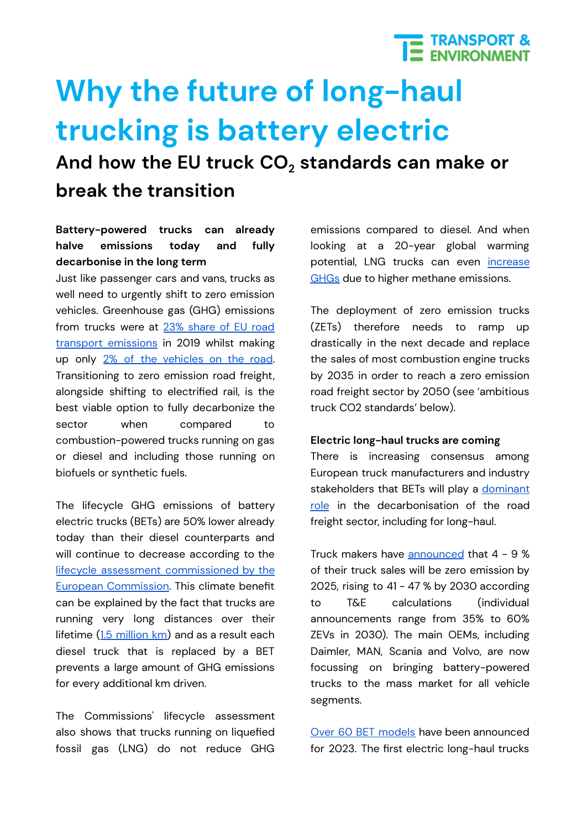## E TRANSPORT &

# **Why the future of long-haul trucking is battery electric**

**And how the EU truck CO<sup>2</sup> standards can make or break the transition**

### **Battery-powered trucks can already halve emissions today and fully decarbonise in the long term**

Just like passenger cars and vans, trucks as well need to urgently shift to zero emission vehicles. Greenhouse gas (GHG) emissions from trucks were at 23% [share](https://unfccc.int/process-and-meetings/transparency-and-reporting/greenhouse-gas-data/ghg-data-unfccc/ghg-data-from-unfccc) of EU road transport [emissions](https://unfccc.int/process-and-meetings/transparency-and-reporting/greenhouse-gas-data/ghg-data-unfccc/ghg-data-from-unfccc) in 2019 whilst making up only 2% of the [vehicles](https://www.acea.auto/files/ACEA-report-vehicles-in-use-europe-2022.pdf) on the road. Transitioning to zero emission road freight, alongside shifting to electrified rail, is the best viable option to fully decarbonize the sector when compared to combustion-powered trucks running on gas or diesel and including those running on biofuels or synthetic fuels.

The lifecycle GHG emissions of battery electric trucks (BETs) are 50% lower already today than their diesel counterparts and will continue to decrease according to the lifecycle assessment [commissioned](https://op.europa.eu/en/publication-detail/-/publication/1f494180-bc0e-11ea-811c-01aa75ed71a1) by the European [Commission.](https://op.europa.eu/en/publication-detail/-/publication/1f494180-bc0e-11ea-811c-01aa75ed71a1) This climate benefit can be explained by the fact that trucks are running very long distances over their lifetime (1.5 [million](https://theicct.org/sites/default/files/publications/ICCT_EU-HDV-tech-2025-30_20180424_updated.pdf) km) and as a result each diesel truck that is replaced by a BET prevents a large amount of GHG emissions for every additional km driven.

The Commissions' lifecycle assessment also shows that trucks running on liquefied fossil gas (LNG) do not reduce GHG emissions compared to diesel. And when looking at a 20-year global warming potential, LNG trucks can even [increase](https://www.transportenvironment.org/discover/lng-trucks-a-dead-end-bridge/) [GHGs](https://www.transportenvironment.org/discover/lng-trucks-a-dead-end-bridge/) due to higher methane emissions.

The deployment of zero emission trucks (ZETs) therefore needs to ramp up drastically in the next decade and replace the sales of most combustion engine trucks by 2035 in order to reach a zero emission road freight sector by 2050 (see 'ambitious truck CO2 standards' below).

#### **Electric long-haul trucks are coming**

There is increasing consensus among European truck manufacturers and industry stakeholders that BETs will play a [dominant](https://traton.com/en/newsroom/current-topics/furture-transport-electric-truck.html) [role](https://traton.com/en/newsroom/current-topics/furture-transport-electric-truck.html) in the decarbonisation of the road freight sector, including for long-haul.

Truck makers have [announced](https://www.transportenvironment.org/discover/eu-truck-targets-too-weak-to-incentivise-the-production-of-enough-zero-emission-vehicles/) that 4 - 9 % of their truck sales will be zero emission by 2025, rising to 41 - 47 % by 2030 according to T&E calculations (individual announcements range from 35% to 60% ZEVs in 2030). The main OEMs, including Daimler, MAN, Scania and Volvo, are now focussing on bringing battery-powered trucks to the mass market for all vehicle segments.

Over 60 BET [models](https://www.iea.org/reports/global-ev-outlook-2021) have been announced for 2023. The first electric long-haul trucks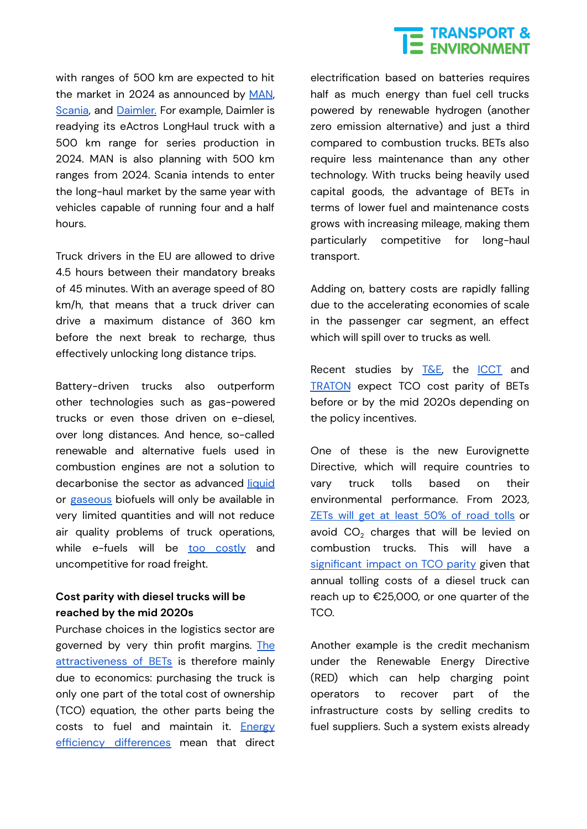### **THE TRANSPORT &**<br> **THE ENVIRONMENT**

with ranges of 500 km are expected to hit the market in 2024 as announced by [MAN](https://www.handelsblatt.com/technik/thespark/nutzfahrzeuge-abschied-vom-diesel-man-kuendigt-serienproduktion-von-elektro-lastwagen-an-/27562412.html), [Scania](https://www.scania.com/group/en/home/newsroom/news/2021/Scanias_commitment_to_electrification_our_initiatives_so_far.html), and [Daimler.](https://www.daimler.com/dokumente/investoren/praesentationen/daimler-ir-presentation-daimler-truck-strategy-day-may-2021.pdf) For example, Daimler is readying its eActros LongHaul truck with a 500 km range for series production in 2024. MAN is also planning with 500 km ranges from 2024. Scania intends to enter the long-haul market by the same year with vehicles capable of running four and a half hours.

Truck drivers in the EU are allowed to drive 4.5 hours between their mandatory breaks of 45 minutes. With an average speed of 80 km/h, that means that a truck driver can drive a maximum distance of 360 km before the next break to recharge, thus effectively unlocking long distance trips.

Battery-driven trucks also outperform other technologies such as gas-powered trucks or even those driven on e-diesel, over long distances. And hence, so-called renewable and alternative fuels used in combustion engines are not a solution to decarbonise the sector as advanced [liquid](https://theicct.org/publication/waste-and-residue-availability-for-advanced-biofuel-production-in-the-european-union-and-the-united-kingdom/) or [gaseous](https://theicct.org/publication/what-is-the-role-for-renewable-methane-in-european-decarbonization/) biofuels will only be available in very limited quantities and will not reduce air quality problems of truck operations, while e-fuels will be too [costly](https://www.nature.com/articles/s41558-021-01032-7) and uncompetitive for road freight.

#### **Cost parity with diesel trucks will be reached by the mid 2020s**

Purchase choices in the logistics sector are governed by very thin profit margins. [The](https://www.transportenvironment.org/discover/why-the-future-of-long-haul-trucking-is-electric/) [attractiveness](https://www.transportenvironment.org/discover/why-the-future-of-long-haul-trucking-is-electric/) of BETs is therefore mainly due to economics: purchasing the truck is only one part of the total cost of ownership (TCO) equation, the other parts being the costs to fuel and maintain it. **[Energy](https://www.transportenvironment.org/discover/electrofuels-yes-we-can-if-were-efficient/)** efficiency [differences](https://www.transportenvironment.org/discover/electrofuels-yes-we-can-if-were-efficient/) mean that direct

electrification based on batteries requires half as much energy than fuel cell trucks powered by renewable hydrogen (another zero emission alternative) and just a third compared to combustion trucks. BETs also require less maintenance than any other technology. With trucks being heavily used capital goods, the advantage of BETs in terms of lower fuel and maintenance costs grows with increasing mileage, making them particularly competitive for long-haul transport.

Adding on, battery costs are rapidly falling due to the accelerating economies of scale in the passenger car segment, an effect which will spill over to trucks as well.

Recent studies by [T&E,](https://www.transportenvironment.org/discover/how-decarbonise-long-haul-trucking-germany/) the [ICCT](https://theicct.org/publication/total-cost-of-ownership-for-tractor-trailers-in-europe-battery-electric-versus-diesel/) and [TRATON](https://ir.traton.com/download/companies/traton/Presentations/210510_TRATON_IR_Presentation_Deep_dive_e_mobility.pdf) expect TCO cost parity of BETs before or by the mid 2020s depending on the policy incentives.

One of these is the new Eurovignette Directive, which will require countries to vary truck tolls based on their environmental performance. From 2023, **ZETs will get at [least](https://www.transportenvironment.org/discover/lawmakers-agree-new-road-tolls-to-incentivise-switch-to-cleaner-trucks/) 50% of road tolls or** avoid  $CO<sub>2</sub>$  charges that will be levied on combustion trucks. This will have a [significant](https://www.transportenvironment.org/discover/how-decarbonise-long-haul-trucking-germany/) impact on TCO parity given that annual tolling costs of a diesel truck can reach up to €25,000, or one quarter of the TCO.

Another example is the credit mechanism under the Renewable Energy Directive (RED) which can help charging point operators to recover part of the infrastructure costs by selling credits to fuel suppliers. Such a system exists already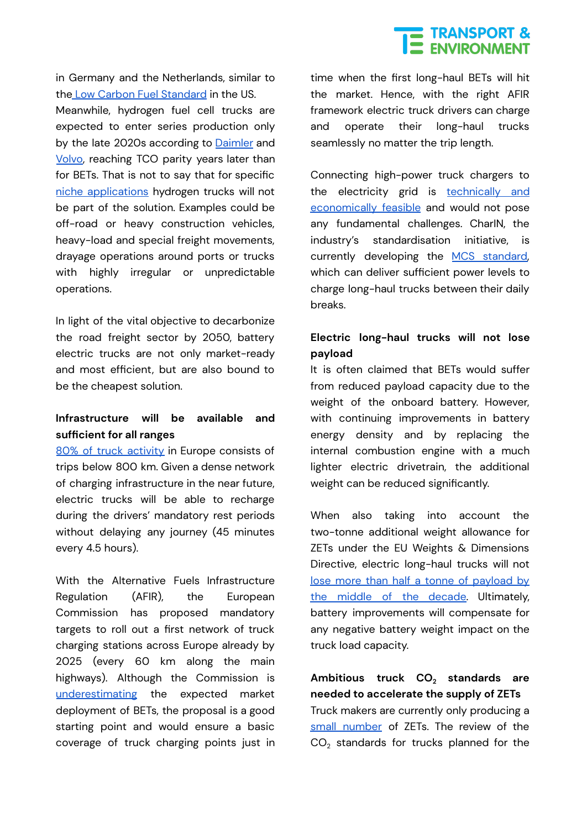### **TRANSPORT &**<br>ENVIRONMENT

in Germany and the Netherlands, similar to the Low Carbon Fuel [Standard](https://ww2.arb.ca.gov/our-work/programs/low-carbon-fuel-standard) in the US.

Meanwhile, hydrogen fuel cell trucks are expected to enter series production only by the late 2020s according to [Daimler](https://www.daimler.com/innovation/drive-systems/hydrogen/start-of-testing-genh2-truck-prototype.html) and [Volvo](https://www.volvogroup.com/en/news-and-media/news/2020/nov/news-3820395.html), reaching TCO parity years later than for BETs. That is not to say that for specific niche [applications](https://www.nature.com/articles/s41928-021-00706-6.epdf?sharing_token=vnVtcxpWksdLIFzI9OpARNRgN0jAjWel9jnR3ZoTv0Psa0yepclYPufAetSx6mt62Axym2EGNiNpE41nias4Aw0iIirgZn5t9aXe_cfUPj1AYko2dw16JWQj-vYTYXZEKXJoFQ_R4xUHHPVwmRU3UXqRzOMhjdr5scs6PTAT92Q%3D) hydrogen trucks will not be part of the solution. Examples could be off-road or heavy construction vehicles, heavy-load and special freight movements, drayage operations around ports or trucks with highly irregular or unpredictable operations.

In light of the vital objective to decarbonize the road freight sector by 2050, battery electric trucks are not only market-ready and most efficient, but are also bound to be the cheapest solution.

#### **Infrastructure will be available and sufficient for all ranges**

80% of truck [activity](https://www.transportenvironment.org/wp-content/uploads/2021/07/202102_pathways_report_final.pdf) in Europe consists of trips below 800 km. Given a dense network of charging infrastructure in the near future, electric trucks will be able to recharge during the drivers' mandatory rest periods without delaying any journey (45 minutes every 4.5 hours).

With the Alternative Fuels Infrastructure Regulation (AFIR), the European Commission has proposed mandatory targets to roll out a first network of truck charging stations across Europe already by 2025 (every 60 km along the main highways). Although the Commission is [underestimating](https://www.transportenvironment.org/discover/afir-how-can-the-eus-infrastructure-law-make-europe-fit-for-55/) the expected market deployment of BETs, the proposal is a good starting point and would ensure a basic coverage of truck charging points just in time when the first long-haul BETs will hit the market. Hence, with the right AFIR framework electric truck drivers can charge and operate their long-haul trucks seamlessly no matter the trip length.

Connecting high-power truck chargers to the electricity grid is [technically](https://www.transportenvironment.org/discover/grid_integration_long_haul_truck_charging_study_final/) and [economically](https://www.transportenvironment.org/discover/grid_integration_long_haul_truck_charging_study_final/) feasible and would not pose any fundamental challenges. CharIN, the industry's standardisation initiative, is currently developing the MCS [standard,](https://www.charin.global/technology/mcs/) which can deliver sufficient power levels to charge long-haul trucks between their daily breaks.

### **Electric long-haul trucks will not lose payload**

It is often claimed that BETs would suffer from reduced payload capacity due to the weight of the onboard battery. However, with continuing improvements in battery energy density and by replacing the internal combustion engine with a much lighter electric drivetrain, the additional weight can be reduced significantly.

When also taking into account the two-tonne additional weight allowance for ZETs under the EU Weights & Dimensions Directive, electric long-haul trucks will not lose more than half a tonne of [payload](https://www.transportenvironment.org/discover/how-decarbonise-long-haul-trucking-germany/) by the middle of the [decade.](https://www.transportenvironment.org/discover/how-decarbonise-long-haul-trucking-germany/) Ultimately, battery improvements will compensate for any negative battery weight impact on the truck load capacity.

**Ambitious truck CO<sup>2</sup> standards are needed to accelerate the supply of ZETs** Truck makers are currently only producing a small [number](https://theicct.org/publication/race-to-zero-ze-hdv-eu-dec21/) of ZETs. The review of the  $CO<sub>2</sub>$  standards for trucks planned for the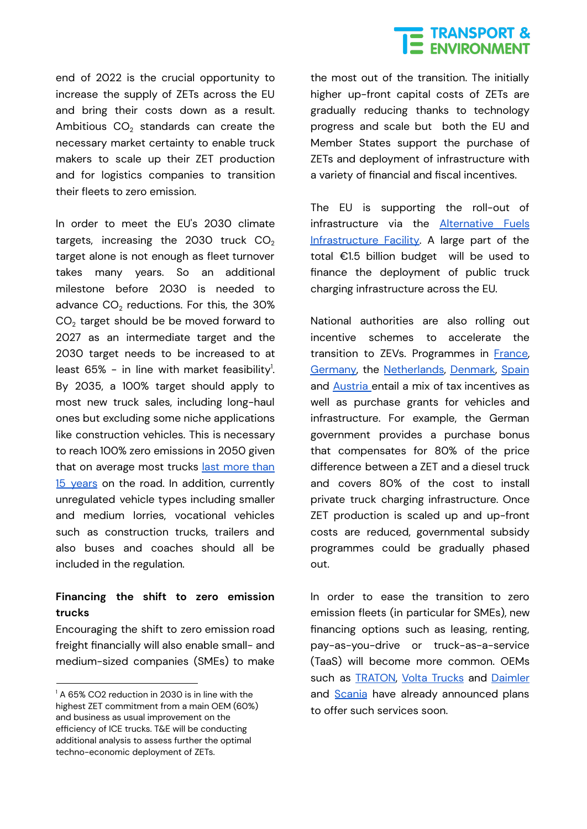### **THE TRANSPORT &**<br> **THE ENVIRONMENT**

end of 2022 is the crucial opportunity to increase the supply of ZETs across the EU and bring their costs down as a result. Ambitious  $CO<sub>2</sub>$  standards can create the necessary market certainty to enable truck makers to scale up their ZET production and for logistics companies to transition their fleets to zero emission.

In order to meet the EU's 2030 climate targets, increasing the 2030 truck  $CO<sub>2</sub>$ target alone is not enough as fleet turnover takes many years. So an additional milestone before 2030 is needed to advance  $CO<sub>2</sub>$  reductions. For this, the  $30\%$  $CO<sub>2</sub>$  target should be be moved forward to 2027 as an intermediate target and the 2030 target needs to be increased to at least 65% - in line with market feasibility $^{\rm l}$ . By 2035, a 100% target should apply to most new truck sales, including long-haul ones but excluding some niche applications like construction vehicles. This is necessary to reach 100% zero emissions in 2050 given that on average most trucks last [more](https://www.acea.auto/publication/report-vehicles-in-use-europe-2022/) than 15 [years](https://www.acea.auto/publication/report-vehicles-in-use-europe-2022/) on the road. In addition, currently unregulated vehicle types including smaller and medium lorries, vocational vehicles such as construction trucks, trailers and also buses and coaches should all be included in the regulation.

#### **Financing the shift to zero emission trucks**

Encouraging the shift to zero emission road freight financially will also enable small- and medium-sized companies (SMEs) to make

the most out of the transition. The initially higher up-front capital costs of ZETs are gradually reducing thanks to technology progress and scale but both the EU and Member States support the purchase of ZETs and deployment of infrastructure with a variety of financial and fiscal incentives.

The EU is supporting the roll-out of infrastructure via the [Alternative](https://cinea.ec.europa.eu/calls-proposals/2021-cef-transport-call-proposals_en) Fuels [Infrastructure](https://cinea.ec.europa.eu/calls-proposals/2021-cef-transport-call-proposals_en) Facility. A large part of the total €1.5 billion budget will be used to finance the deployment of public truck charging infrastructure across the EU.

National authorities are also rolling out incentive schemes to accelerate the transition to ZEVs. Programmes in [France](https://www.avere-france.org/aides-a-lacquisition/), [Germany](https://www.klimafreundliche-nutzfahrzeuge.de/foerderung/), the [Netherlands](https://www.internetconsultatie.nl/aanschafsubsidie_zero_emissie_trucks), [Denmark,](https://www.trm.dk/media/5498/endelig-aftaletekst-250621_final-a.pdf) [Spain](https://www.mitma.gob.es/ministerio/proyectos-singulares/prtr/transporte/ayudas-empresas-transporte) and [Austria](https://www.klimafonds.gv.at/call/emob-betriebe2021/) entail a mix of tax incentives as well as purchase grants for vehicles and infrastructure. For example, the German government provides a purchase bonus that compensates for 80% of the price difference between a ZET and a diesel truck and covers 80% of the cost to install private truck charging infrastructure. Once ZET production is scaled up and up-front costs are reduced, governmental subsidy programmes could be gradually phased out.

In order to ease the transition to zero emission fleets (in particular for SMEs), new financing options such as leasing, renting, pay-as-you-drive or truck-as-a-service (TaaS) will become more common. OEMs such as **TRATON**, Volta [Trucks](https://voltatrucks.com/truck-as-a-service) and [Daimler](https://www.daimler-truckfinancial.com/inet/) and [Scania](https://www.scania.com/content/dam/scanianoe/market/uk/brochures/finance-and-insurance/brochure-scania-financial-services.pdf) have already announced plans to offer such services soon.

<sup>&</sup>lt;sup>1</sup> A 65% CO2 reduction in 2030 is in line with the highest ZET commitment from a main OEM (60%) and business as usual improvement on the efficiency of ICE trucks. T&E will be conducting additional analysis to assess further the optimal techno-economic deployment of ZETs.